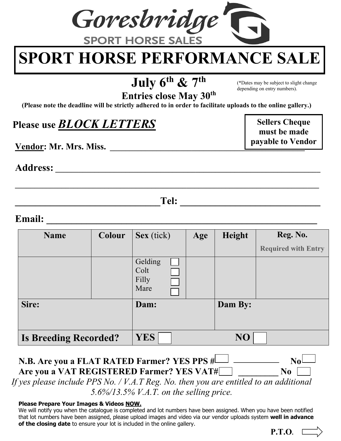

# **SPORT HORSE PERFORMANCE SALE**

## **July 6th & 7th**

(\*Dates may be subject to slight change depending on entry numbers).

> **Sellers Cheque must be made payable to Vendor**

**Entries close May 30th**

**(Please note the deadline will be strictly adhered to in order to facilitate uploads to the online gallery.)**

### **Please use** *BLOCK LETTERS*

**Vendor: Mr. Mrs. Miss.** 

**Address: \_\_\_\_\_\_\_\_\_\_\_\_\_\_\_\_\_\_\_\_\_\_\_\_\_\_\_\_\_\_\_\_\_\_\_\_\_\_\_\_\_\_\_\_\_\_\_\_\_\_\_\_\_\_\_\_\_\_\_\_\_\_\_\_\_\_\_\_**

**\_\_\_\_\_\_\_\_\_\_\_\_\_\_\_\_\_\_\_\_\_\_\_\_\_\_\_\_\_Tel: \_\_\_\_\_\_\_\_\_\_\_\_\_\_\_\_\_\_\_\_\_\_\_\_\_\_\_\_**

**\_\_\_\_\_\_\_\_\_\_\_\_\_\_\_\_\_\_\_\_\_\_\_\_\_\_\_\_\_\_\_\_\_\_\_\_\_\_\_\_\_\_\_\_\_\_\_\_\_\_\_\_\_\_\_\_\_\_\_\_\_\_\_\_\_\_\_\_\_\_\_\_\_\_\_\_\_\_**

#### **Email:**  $\qquad \qquad \qquad$

| <b>Name</b>                  | <b>Colour</b> | Sex (tick)                       | Age | Height  | Reg. No.                   |
|------------------------------|---------------|----------------------------------|-----|---------|----------------------------|
|                              |               |                                  |     |         | <b>Required with Entry</b> |
|                              |               | Gelding<br>Colt<br>Filly<br>Mare |     |         |                            |
| Sire:                        |               | Dam:                             |     | Dam By: |                            |
| <b>Is Breeding Recorded?</b> |               | <b>YES</b>                       |     | NO      |                            |

#### **N.B. Are you a FLAT RATED Farmer? YES PPS**  $\sharp \Box$ Are you a VAT REGISTERED Farmer? YES VAT# \_\_\_\_\_\_\_\_\_\_ No

*If yes please include PPS No. / V.A.T Reg. No. then you are entitled to an additional 5.6%/13.5% V.A.T. on the selling price.*

#### **Please Prepare Your Images & Videos NOW.**

We will notify you when the catalogue is completed and lot numbers have been assigned. When you have been notified that lot numbers have been assigned, please upload images and video via our vendor uploads system **well in advance of the closing date** to ensure your lot is included in the online gallery.